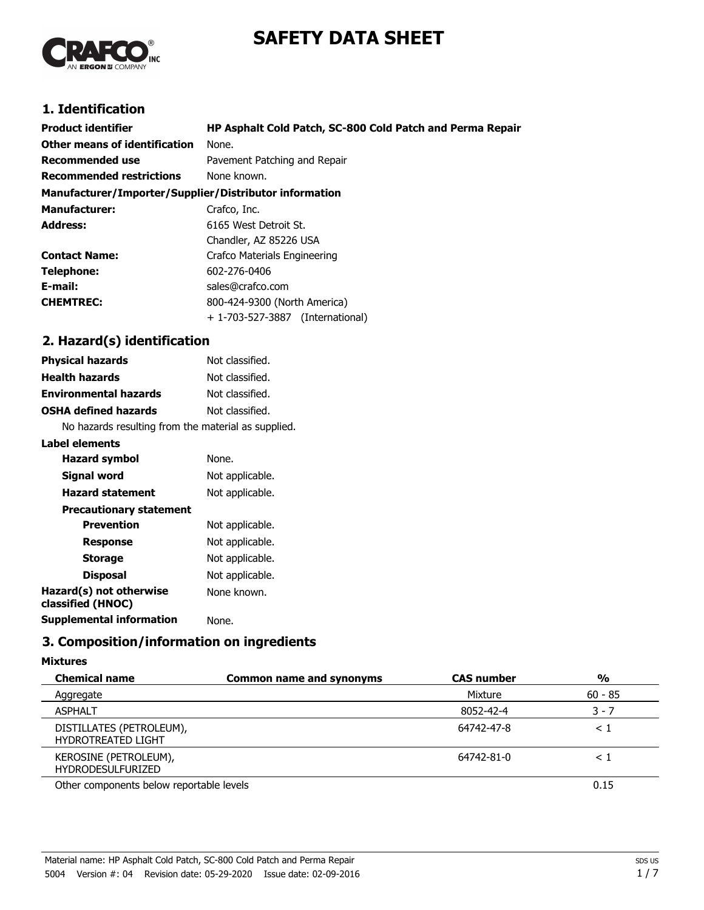# **SAFETY DATA SHEET**



# **1. Identification**

| <b>Product identifier</b><br>Other means of identification | HP Asphalt Cold Patch, SC-800 Cold Patch and Perma Repair<br>None. |  |
|------------------------------------------------------------|--------------------------------------------------------------------|--|
| Recommended use                                            | Pavement Patching and Repair                                       |  |
| <b>Recommended restrictions</b>                            | None known.                                                        |  |
| Manufacturer/Importer/Supplier/Distributor information     |                                                                    |  |
| <b>Manufacturer:</b>                                       | Crafco, Inc.                                                       |  |
| <b>Address:</b>                                            | 6165 West Detroit St.                                              |  |
|                                                            | Chandler, AZ 85226 USA                                             |  |
| <b>Contact Name:</b>                                       | Crafco Materials Engineering                                       |  |
| Telephone:                                                 | 602-276-0406                                                       |  |
| E-mail:                                                    | sales@crafco.com                                                   |  |
| <b>CHEMTREC:</b>                                           | 800-424-9300 (North America)                                       |  |
|                                                            | + 1-703-527-3887 (International)                                   |  |

## **2. Hazard(s) identification**

| <b>Physical hazards</b>      | Not classified. |
|------------------------------|-----------------|
| <b>Health hazards</b>        | Not classified. |
| <b>Environmental hazards</b> | Not classified. |
| <b>OSHA defined hazards</b>  | Not classified. |
|                              |                 |

No hazards resulting from the material as supplied.

#### **Label elements**

| <b>Hazard symbol</b>                         | None.           |
|----------------------------------------------|-----------------|
| Signal word                                  | Not applicable. |
| <b>Hazard statement</b>                      | Not applicable. |
| <b>Precautionary statement</b>               |                 |
| <b>Prevention</b>                            | Not applicable. |
| Response                                     | Not applicable. |
| <b>Storage</b>                               | Not applicable. |
| <b>Disposal</b>                              | Not applicable. |
| Hazard(s) not otherwise<br>classified (HNOC) | None known.     |
| Supplemental information                     | None.           |
|                                              |                 |

## **3. Composition/information on ingredients**

#### **Mixtures**

| <b>Chemical name</b>                                  | <b>Common name and synonyms</b> | <b>CAS number</b> | %         |
|-------------------------------------------------------|---------------------------------|-------------------|-----------|
| Aggregate                                             |                                 | Mixture           | $60 - 85$ |
| <b>ASPHALT</b>                                        |                                 | 8052-42-4         | 3 - 7     |
| DISTILLATES (PETROLEUM),<br><b>HYDROTREATED LIGHT</b> |                                 | 64742-47-8        | $\leq 1$  |
| KEROSINE (PETROLEUM),<br><b>HYDRODESULFURIZED</b>     |                                 | 64742-81-0        | $\leq$ .  |
| Other components below reportable levels              |                                 |                   | 0.15      |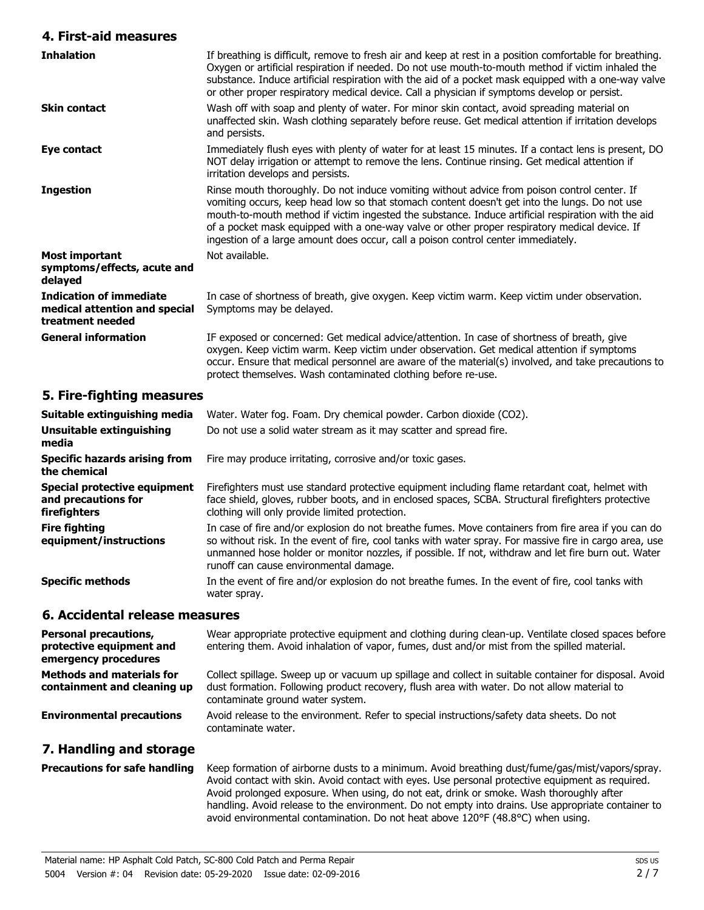#### **4. First-aid measures**

| <b>Inhalation</b>                                                                   | If breathing is difficult, remove to fresh air and keep at rest in a position comfortable for breathing.<br>Oxygen or artificial respiration if needed. Do not use mouth-to-mouth method if victim inhaled the<br>substance. Induce artificial respiration with the aid of a pocket mask equipped with a one-way valve<br>or other proper respiratory medical device. Call a physician if symptoms develop or persist.                                                                    |
|-------------------------------------------------------------------------------------|-------------------------------------------------------------------------------------------------------------------------------------------------------------------------------------------------------------------------------------------------------------------------------------------------------------------------------------------------------------------------------------------------------------------------------------------------------------------------------------------|
| <b>Skin contact</b>                                                                 | Wash off with soap and plenty of water. For minor skin contact, avoid spreading material on<br>unaffected skin. Wash clothing separately before reuse. Get medical attention if irritation develops<br>and persists.                                                                                                                                                                                                                                                                      |
| Eye contact                                                                         | Immediately flush eyes with plenty of water for at least 15 minutes. If a contact lens is present, DO<br>NOT delay irrigation or attempt to remove the lens. Continue rinsing. Get medical attention if<br>irritation develops and persists.                                                                                                                                                                                                                                              |
| <b>Ingestion</b>                                                                    | Rinse mouth thoroughly. Do not induce vomiting without advice from poison control center. If<br>vomiting occurs, keep head low so that stomach content doesn't get into the lungs. Do not use<br>mouth-to-mouth method if victim ingested the substance. Induce artificial respiration with the aid<br>of a pocket mask equipped with a one-way valve or other proper respiratory medical device. If<br>ingestion of a large amount does occur, call a poison control center immediately. |
| <b>Most important</b><br>symptoms/effects, acute and<br>delayed                     | Not available.                                                                                                                                                                                                                                                                                                                                                                                                                                                                            |
| <b>Indication of immediate</b><br>medical attention and special<br>treatment needed | In case of shortness of breath, give oxygen. Keep victim warm. Keep victim under observation.<br>Symptoms may be delayed.                                                                                                                                                                                                                                                                                                                                                                 |
| <b>General information</b>                                                          | IF exposed or concerned: Get medical advice/attention. In case of shortness of breath, give<br>oxygen. Keep victim warm. Keep victim under observation. Get medical attention if symptoms<br>occur. Ensure that medical personnel are aware of the material(s) involved, and take precautions to<br>protect themselves. Wash contaminated clothing before re-use.                                                                                                                         |

#### **5. Fire-fighting measures**

| Suitable extinguishing media                                        | Water. Water fog. Foam. Dry chemical powder. Carbon dioxide (CO2).                                                                                                                                                                                                                                                                                              |  |
|---------------------------------------------------------------------|-----------------------------------------------------------------------------------------------------------------------------------------------------------------------------------------------------------------------------------------------------------------------------------------------------------------------------------------------------------------|--|
| Unsuitable extinguishing<br>media                                   | Do not use a solid water stream as it may scatter and spread fire.                                                                                                                                                                                                                                                                                              |  |
| Specific hazards arising from<br>the chemical                       | Fire may produce irritating, corrosive and/or toxic gases.                                                                                                                                                                                                                                                                                                      |  |
| Special protective equipment<br>and precautions for<br>firefighters | Firefighters must use standard protective equipment including flame retardant coat, helmet with<br>face shield, gloves, rubber boots, and in enclosed spaces, SCBA. Structural firefighters protective<br>clothing will only provide limited protection.                                                                                                        |  |
| <b>Fire fighting</b><br>equipment/instructions                      | In case of fire and/or explosion do not breathe fumes. Move containers from fire area if you can do<br>so without risk. In the event of fire, cool tanks with water spray. For massive fire in cargo area, use<br>unmanned hose holder or monitor nozzles, if possible. If not, withdraw and let fire burn out. Water<br>runoff can cause environmental damage. |  |
| <b>Specific methods</b>                                             | In the event of fire and/or explosion do not breathe fumes. In the event of fire, cool tanks with<br>water spray.                                                                                                                                                                                                                                               |  |
| 6. Accidental release measures                                      |                                                                                                                                                                                                                                                                                                                                                                 |  |

| <b>Personal precautions,</b><br>protective equipment and<br>emergency procedures | Wear appropriate protective equipment and clothing during clean-up. Ventilate closed spaces before<br>entering them. Avoid inhalation of vapor, fumes, dust and/or mist from the spilled material.                                        |
|----------------------------------------------------------------------------------|-------------------------------------------------------------------------------------------------------------------------------------------------------------------------------------------------------------------------------------------|
| <b>Methods and materials for</b><br>containment and cleaning up                  | Collect spillage. Sweep up or vacuum up spillage and collect in suitable container for disposal. Avoid<br>dust formation. Following product recovery, flush area with water. Do not allow material to<br>contaminate ground water system. |
| <b>Environmental precautions</b>                                                 | Avoid release to the environment. Refer to special instructions/safety data sheets. Do not<br>contaminate water.                                                                                                                          |

## **7. Handling and storage**

Keep formation of airborne dusts to a minimum. Avoid breathing dust/fume/gas/mist/vapors/spray. Avoid contact with skin. Avoid contact with eyes. Use personal protective equipment as required. Avoid prolonged exposure. When using, do not eat, drink or smoke. Wash thoroughly after handling. Avoid release to the environment. Do not empty into drains. Use appropriate container to avoid environmental contamination. Do not heat above 120°F (48.8°C) when using. **Precautions for safe handling**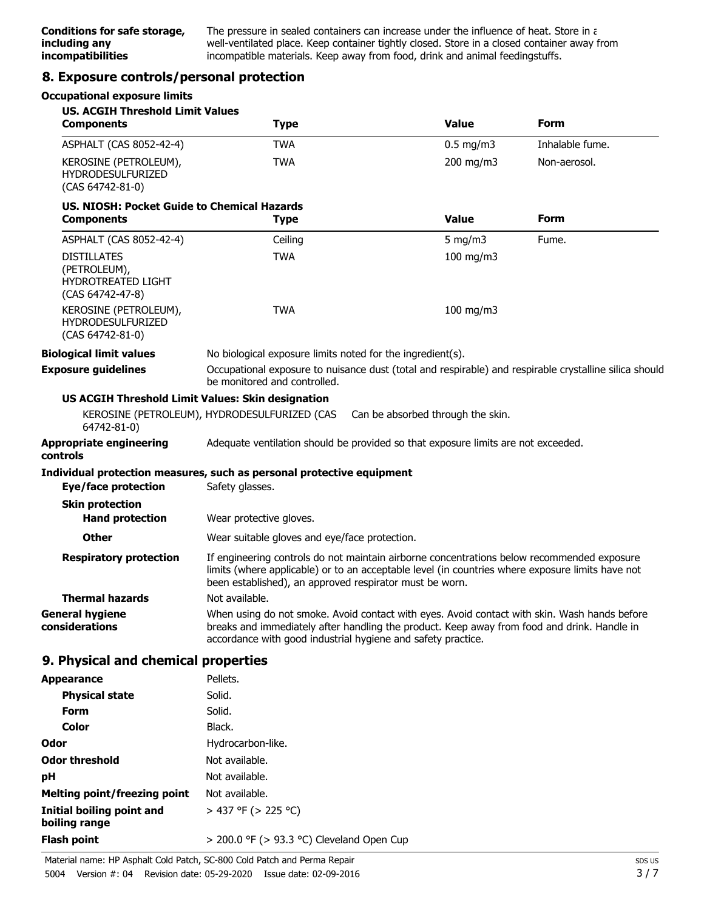The pressure in sealed containers can increase under the influence of heat. Store in a well-ventilated place. Keep container tightly closed. Store in a closed container away from incompatible materials. Keep away from food, drink and animal feedingstuffs.

#### **8. Exposure controls/personal protection**

#### **Occupational exposure limits**

| <b>US. ACGIH Threshold Limit Values</b><br><b>Components</b>                        | <b>Type</b>                                                                                                                                                                                                                                                 | <b>Value</b>                      | <b>Form</b>     |
|-------------------------------------------------------------------------------------|-------------------------------------------------------------------------------------------------------------------------------------------------------------------------------------------------------------------------------------------------------------|-----------------------------------|-----------------|
| ASPHALT (CAS 8052-42-4)                                                             | <b>TWA</b>                                                                                                                                                                                                                                                  | $0.5$ mg/m3                       | Inhalable fume. |
| KEROSINE (PETROLEUM),<br><b>HYDRODESULFURIZED</b><br>(CAS 64742-81-0)               | <b>TWA</b>                                                                                                                                                                                                                                                  | 200 mg/m3                         | Non-aerosol.    |
| US, NIOSH: Pocket Guide to Chemical Hazards<br><b>Components</b>                    | <b>Type</b>                                                                                                                                                                                                                                                 | <b>Value</b>                      | <b>Form</b>     |
| ASPHALT (CAS 8052-42-4)                                                             | Ceiling                                                                                                                                                                                                                                                     | 5 mg/m $3$                        | Fume.           |
| <b>DISTILLATES</b><br>(PETROLEUM),<br><b>HYDROTREATED LIGHT</b><br>(CAS 64742-47-8) | <b>TWA</b>                                                                                                                                                                                                                                                  | 100 mg/m3                         |                 |
| KEROSINE (PETROLEUM),<br><b>HYDRODESULFURIZED</b><br>(CAS 64742-81-0)               | <b>TWA</b>                                                                                                                                                                                                                                                  | 100 mg/m3                         |                 |
| <b>Biological limit values</b>                                                      | No biological exposure limits noted for the ingredient(s).                                                                                                                                                                                                  |                                   |                 |
| <b>Exposure guidelines</b>                                                          | Occupational exposure to nuisance dust (total and respirable) and respirable crystalline silica should<br>be monitored and controlled.                                                                                                                      |                                   |                 |
| <b>US ACGIH Threshold Limit Values: Skin designation</b>                            |                                                                                                                                                                                                                                                             |                                   |                 |
| 64742-81-0)                                                                         | KEROSINE (PETROLEUM), HYDRODESULFURIZED (CAS                                                                                                                                                                                                                | Can be absorbed through the skin. |                 |
| Appropriate engineering<br>controls                                                 | Adequate ventilation should be provided so that exposure limits are not exceeded.                                                                                                                                                                           |                                   |                 |
|                                                                                     | Individual protection measures, such as personal protective equipment                                                                                                                                                                                       |                                   |                 |
| <b>Eye/face protection</b>                                                          | Safety glasses.                                                                                                                                                                                                                                             |                                   |                 |
| <b>Skin protection</b>                                                              |                                                                                                                                                                                                                                                             |                                   |                 |
| <b>Hand protection</b>                                                              | Wear protective gloves.                                                                                                                                                                                                                                     |                                   |                 |
| Other                                                                               | Wear suitable gloves and eye/face protection.                                                                                                                                                                                                               |                                   |                 |
| <b>Respiratory protection</b>                                                       | If engineering controls do not maintain airborne concentrations below recommended exposure<br>limits (where applicable) or to an acceptable level (in countries where exposure limits have not<br>been established), an approved respirator must be worn.   |                                   |                 |
| <b>Thermal hazards</b>                                                              | Not available.                                                                                                                                                                                                                                              |                                   |                 |
| General hygiene<br>considerations                                                   | When using do not smoke. Avoid contact with eyes. Avoid contact with skin. Wash hands before<br>breaks and immediately after handling the product. Keep away from food and drink. Handle in<br>accordance with good industrial hygiene and safety practice. |                                   |                 |
| 9. Physical and chemical properties                                                 |                                                                                                                                                                                                                                                             |                                   |                 |
| <b>Appearance</b>                                                                   | Pellets.                                                                                                                                                                                                                                                    |                                   |                 |
| <b>Physical state</b>                                                               | Solid.                                                                                                                                                                                                                                                      |                                   |                 |
| <b>Form</b>                                                                         | Solid.                                                                                                                                                                                                                                                      |                                   |                 |
| <b>Color</b>                                                                        | Black.                                                                                                                                                                                                                                                      |                                   |                 |
| Odor                                                                                | Hydrocarbon-like.                                                                                                                                                                                                                                           |                                   |                 |
| Odor threshold                                                                      | Not available.                                                                                                                                                                                                                                              |                                   |                 |
| pН                                                                                  | Not available.                                                                                                                                                                                                                                              |                                   |                 |
| Melting point/freezing point                                                        | Not available.                                                                                                                                                                                                                                              |                                   |                 |

**Flash point** > 200.0 °F (> 93.3 °C) Cleveland Open Cup

> 437 °F (> 225 °C)

**Initial boiling point and**

**boiling range**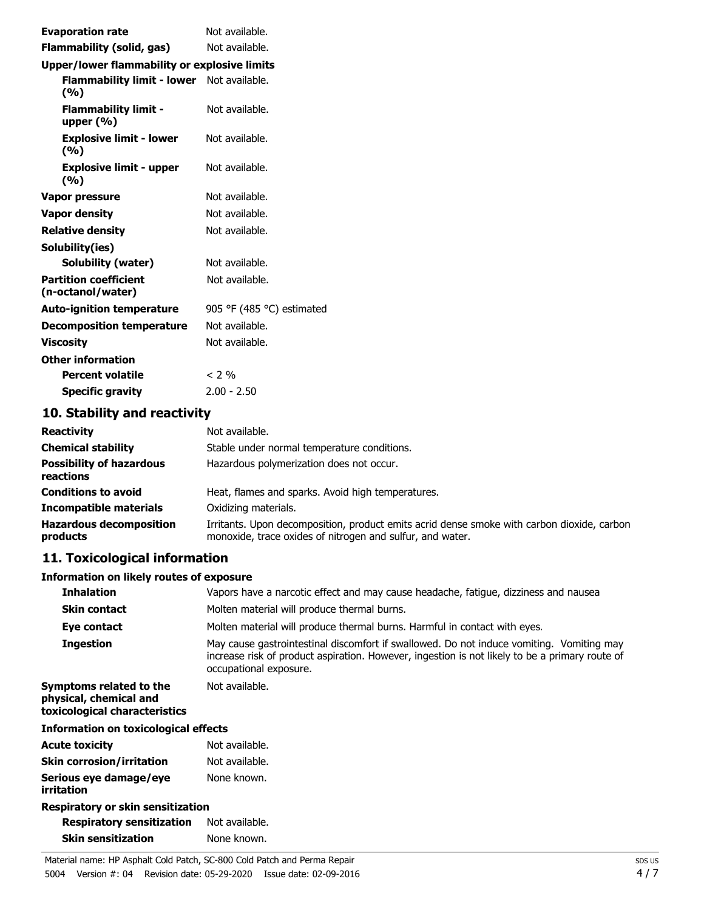| <b>Evaporation rate</b>                                 | Not available.            |  |
|---------------------------------------------------------|---------------------------|--|
| Flammability (solid, gas)                               | Not available.            |  |
| Upper/lower flammability or explosive limits            |                           |  |
| <b>Flammability limit - lower</b> Not available.<br>(%) |                           |  |
| <b>Flammability limit -</b><br>upper $(% )$             | Not available.            |  |
| <b>Explosive limit - lower</b><br>(%)                   | Not available.            |  |
| <b>Explosive limit - upper</b><br>(%)                   | Not available.            |  |
| Vapor pressure                                          | Not available.            |  |
| <b>Vapor density</b>                                    | Not available.            |  |
| <b>Relative density</b>                                 | Not available.            |  |
| Solubility(ies)                                         |                           |  |
| Solubility (water)                                      | Not available.            |  |
| <b>Partition coefficient</b><br>(n-octanol/water)       | Not available.            |  |
| <b>Auto-ignition temperature</b>                        | 905 °F (485 °C) estimated |  |
| <b>Decomposition temperature</b>                        | Not available.            |  |
| <b>Viscosity</b>                                        | Not available.            |  |
| <b>Other information</b>                                |                           |  |
| <b>Percent volatile</b>                                 | $<$ 2 %                   |  |
| <b>Specific gravity</b>                                 | $2.00 - 2.50$             |  |

# **10. Stability and reactivity**

| <b>Reactivity</b>                            | Not available.                                                                                                                                          |
|----------------------------------------------|---------------------------------------------------------------------------------------------------------------------------------------------------------|
| <b>Chemical stability</b>                    | Stable under normal temperature conditions.                                                                                                             |
| <b>Possibility of hazardous</b><br>reactions | Hazardous polymerization does not occur.                                                                                                                |
| <b>Conditions to avoid</b>                   | Heat, flames and sparks. Avoid high temperatures.                                                                                                       |
| <b>Incompatible materials</b>                | Oxidizing materials.                                                                                                                                    |
| <b>Hazardous decomposition</b><br>products   | Irritants. Upon decomposition, product emits acrid dense smoke with carbon dioxide, carbon<br>monoxide, trace oxides of nitrogen and sulfur, and water. |

# **11. Toxicological information**

#### **Information on likely routes of exposure**

| <b>Inhalation</b>                                                                  | Vapors have a narcotic effect and may cause headache, fatigue, dizziness and nausea                                                                                                                                  |  |
|------------------------------------------------------------------------------------|----------------------------------------------------------------------------------------------------------------------------------------------------------------------------------------------------------------------|--|
| <b>Skin contact</b>                                                                | Molten material will produce thermal burns.                                                                                                                                                                          |  |
| Eye contact                                                                        | Molten material will produce thermal burns. Harmful in contact with eyes.                                                                                                                                            |  |
| <b>Ingestion</b>                                                                   | May cause gastrointestinal discomfort if swallowed. Do not induce vomiting. Vomiting may<br>increase risk of product aspiration. However, ingestion is not likely to be a primary route of<br>occupational exposure. |  |
| Symptoms related to the<br>physical, chemical and<br>toxicological characteristics | Not available.                                                                                                                                                                                                       |  |
| Information on toxicological effects                                               |                                                                                                                                                                                                                      |  |
| Acute toxicity                                                                     | Not available.                                                                                                                                                                                                       |  |
|                                                                                    |                                                                                                                                                                                                                      |  |

| .                                | .              |
|----------------------------------|----------------|
| <b>Skin corrosion/irritation</b> | Not available. |
| Serious eye damage/eye           | None known.    |
| irritation                       |                |

#### **Respiratory or skin sensitization**

| <b>Respiratory sensitization</b> | Not available. |
|----------------------------------|----------------|
| <b>Skin sensitization</b>        | None known.    |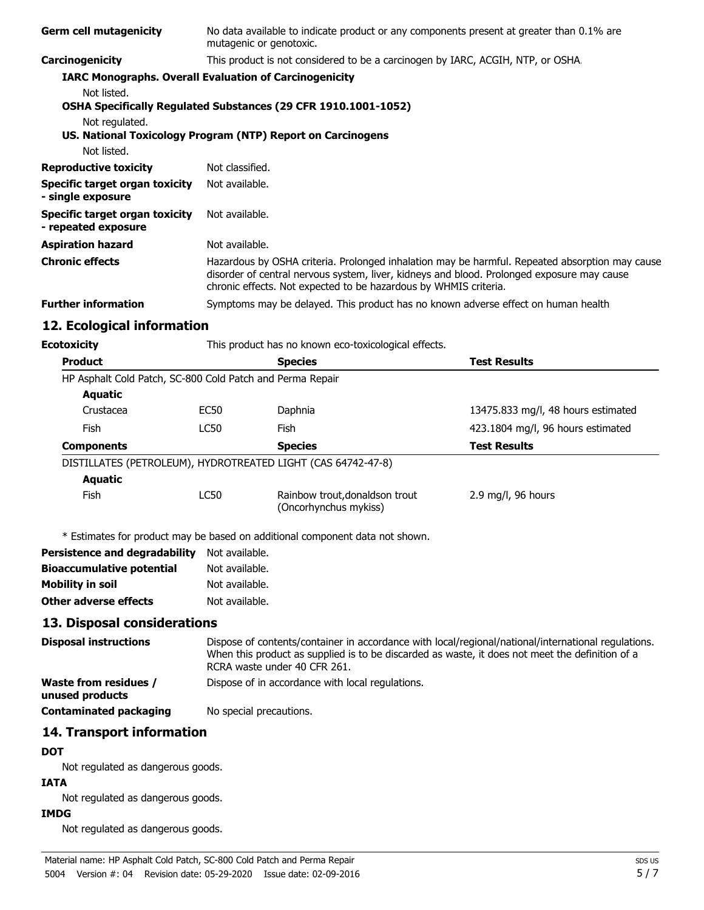| <b>Germ cell mutagenicity</b>                                                                | No data available to indicate product or any components present at greater than 0.1% are<br>mutagenic or genotoxic.                                                                                                                                              |                                                                                   |                                    |
|----------------------------------------------------------------------------------------------|------------------------------------------------------------------------------------------------------------------------------------------------------------------------------------------------------------------------------------------------------------------|-----------------------------------------------------------------------------------|------------------------------------|
| Carcinogenicity                                                                              |                                                                                                                                                                                                                                                                  | This product is not considered to be a carcinogen by IARC, ACGIH, NTP, or OSHA.   |                                    |
| <b>IARC Monographs. Overall Evaluation of Carcinogenicity</b>                                |                                                                                                                                                                                                                                                                  |                                                                                   |                                    |
| Not listed.                                                                                  |                                                                                                                                                                                                                                                                  | OSHA Specifically Regulated Substances (29 CFR 1910.1001-1052)                    |                                    |
| Not regulated.<br>US. National Toxicology Program (NTP) Report on Carcinogens<br>Not listed. |                                                                                                                                                                                                                                                                  |                                                                                   |                                    |
| <b>Reproductive toxicity</b>                                                                 | Not classified.                                                                                                                                                                                                                                                  |                                                                                   |                                    |
| <b>Specific target organ toxicity</b><br>- single exposure                                   | Not available.                                                                                                                                                                                                                                                   |                                                                                   |                                    |
| <b>Specific target organ toxicity</b><br>- repeated exposure                                 | Not available.                                                                                                                                                                                                                                                   |                                                                                   |                                    |
| <b>Aspiration hazard</b>                                                                     | Not available.                                                                                                                                                                                                                                                   |                                                                                   |                                    |
| <b>Chronic effects</b>                                                                       | Hazardous by OSHA criteria. Prolonged inhalation may be harmful. Repeated absorption may cause<br>disorder of central nervous system, liver, kidneys and blood. Prolonged exposure may cause<br>chronic effects. Not expected to be hazardous by WHMIS criteria. |                                                                                   |                                    |
| <b>Further information</b>                                                                   |                                                                                                                                                                                                                                                                  | Symptoms may be delayed. This product has no known adverse effect on human health |                                    |
| 12. Ecological information                                                                   |                                                                                                                                                                                                                                                                  |                                                                                   |                                    |
| <b>Ecotoxicity</b>                                                                           |                                                                                                                                                                                                                                                                  | This product has no known eco-toxicological effects.                              |                                    |
| <b>Product</b>                                                                               |                                                                                                                                                                                                                                                                  | <b>Species</b>                                                                    | <b>Test Results</b>                |
| HP Asphalt Cold Patch, SC-800 Cold Patch and Perma Repair<br><b>Aquatic</b>                  |                                                                                                                                                                                                                                                                  |                                                                                   |                                    |
| Crustacea                                                                                    | EC50                                                                                                                                                                                                                                                             | Daphnia                                                                           | 13475.833 mg/l, 48 hours estimated |
| <b>Fish</b>                                                                                  | <b>LC50</b>                                                                                                                                                                                                                                                      | Fish                                                                              | 423.1804 mg/l, 96 hours estimated  |
| <b>Components</b>                                                                            |                                                                                                                                                                                                                                                                  | <b>Species</b>                                                                    | <b>Test Results</b>                |
| DISTILLATES (PETROLEUM), HYDROTREATED LIGHT (CAS 64742-47-8)                                 |                                                                                                                                                                                                                                                                  |                                                                                   |                                    |
| <b>Aquatic</b>                                                                               |                                                                                                                                                                                                                                                                  |                                                                                   |                                    |
| Fish                                                                                         | <b>LC50</b>                                                                                                                                                                                                                                                      | Rainbow trout, donaldson trout<br>(Oncorhynchus mykiss)                           | 2.9 mg/l, 96 hours                 |
|                                                                                              |                                                                                                                                                                                                                                                                  | * Estimates for product may be based on additional component data not shown.      |                                    |
| <b>Persistence and degradability</b>                                                         | Not available.                                                                                                                                                                                                                                                   |                                                                                   |                                    |
| <b>Bioaccumulative potential</b>                                                             | Not available.                                                                                                                                                                                                                                                   |                                                                                   |                                    |
| <b>Mobility in soil</b>                                                                      | Not available.                                                                                                                                                                                                                                                   |                                                                                   |                                    |
| <b>Other adverse effects</b>                                                                 | Not available.                                                                                                                                                                                                                                                   |                                                                                   |                                    |
| 13. Disposal considerations                                                                  |                                                                                                                                                                                                                                                                  |                                                                                   |                                    |
| <b>Disposal instructions</b>                                                                 | Dispose of contents/container in accordance with local/regional/national/international regulations.<br>When this product as supplied is to be discarded as waste, it does not meet the definition of a<br>RCRA waste under 40 CFR 261.                           |                                                                                   |                                    |
| <b>Waste from residues /</b><br>unused products                                              |                                                                                                                                                                                                                                                                  | Dispose of in accordance with local regulations.                                  |                                    |
| <b>Contaminated packaging</b>                                                                | No special precautions.                                                                                                                                                                                                                                          |                                                                                   |                                    |
| 14. Transport information                                                                    |                                                                                                                                                                                                                                                                  |                                                                                   |                                    |
| <b>DOT</b>                                                                                   |                                                                                                                                                                                                                                                                  |                                                                                   |                                    |
| Not regulated as dangerous goods.                                                            |                                                                                                                                                                                                                                                                  |                                                                                   |                                    |
| <b>IATA</b>                                                                                  |                                                                                                                                                                                                                                                                  |                                                                                   |                                    |
|                                                                                              |                                                                                                                                                                                                                                                                  |                                                                                   |                                    |
| Not regulated as dangerous goods.                                                            |                                                                                                                                                                                                                                                                  |                                                                                   |                                    |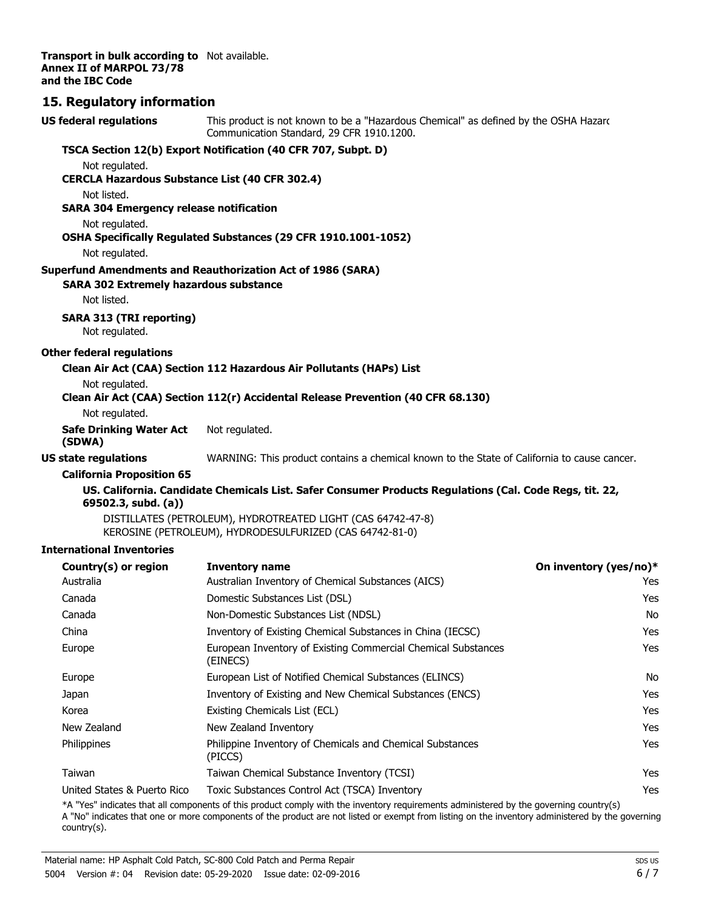**Transport in bulk according to** Not available. **Annex II of MARPOL 73/78 and the IBC Code**

### **15. Regulatory information**

| <b>US federal regulations</b>                                    | This product is not known to be a "Hazardous Chemical" as defined by the OSHA Hazard<br>Communication Standard, 29 CFR 1910.1200. |                        |  |
|------------------------------------------------------------------|-----------------------------------------------------------------------------------------------------------------------------------|------------------------|--|
|                                                                  | TSCA Section 12(b) Export Notification (40 CFR 707, Subpt. D)                                                                     |                        |  |
| Not regulated.                                                   |                                                                                                                                   |                        |  |
| <b>CERCLA Hazardous Substance List (40 CFR 302.4)</b>            |                                                                                                                                   |                        |  |
| Not listed.                                                      |                                                                                                                                   |                        |  |
| <b>SARA 304 Emergency release notification</b><br>Not regulated. |                                                                                                                                   |                        |  |
|                                                                  | OSHA Specifically Regulated Substances (29 CFR 1910.1001-1052)                                                                    |                        |  |
| Not regulated.                                                   |                                                                                                                                   |                        |  |
|                                                                  | <b>Superfund Amendments and Reauthorization Act of 1986 (SARA)</b>                                                                |                        |  |
| <b>SARA 302 Extremely hazardous substance</b>                    |                                                                                                                                   |                        |  |
| Not listed.                                                      |                                                                                                                                   |                        |  |
| <b>SARA 313 (TRI reporting)</b><br>Not regulated.                |                                                                                                                                   |                        |  |
| <b>Other federal regulations</b>                                 |                                                                                                                                   |                        |  |
|                                                                  | Clean Air Act (CAA) Section 112 Hazardous Air Pollutants (HAPs) List                                                              |                        |  |
| Not regulated.                                                   | Clean Air Act (CAA) Section 112(r) Accidental Release Prevention (40 CFR 68.130)                                                  |                        |  |
| Not regulated.                                                   |                                                                                                                                   |                        |  |
| <b>Safe Drinking Water Act</b><br>(SDWA)                         | Not regulated.                                                                                                                    |                        |  |
| <b>US state regulations</b>                                      | WARNING: This product contains a chemical known to the State of California to cause cancer.                                       |                        |  |
| <b>California Proposition 65</b>                                 |                                                                                                                                   |                        |  |
| 69502.3, subd. (a))                                              | US. California. Candidate Chemicals List. Safer Consumer Products Regulations (Cal. Code Regs, tit. 22,                           |                        |  |
|                                                                  | DISTILLATES (PETROLEUM), HYDROTREATED LIGHT (CAS 64742-47-8)<br>KEROSINE (PETROLEUM), HYDRODESULFURIZED (CAS 64742-81-0)          |                        |  |
| <b>International Inventories</b>                                 |                                                                                                                                   |                        |  |
| Country(s) or region                                             | <b>Inventory name</b>                                                                                                             | On inventory (yes/no)* |  |
| Australia                                                        | Australian Inventory of Chemical Substances (AICS)                                                                                | Yes                    |  |
| Canada                                                           | Domestic Substances List (DSL)                                                                                                    | Yes                    |  |
| Canada                                                           | Non-Domestic Substances List (NDSL)                                                                                               | No                     |  |
| China                                                            | Inventory of Existing Chemical Substances in China (IECSC)                                                                        | Yes                    |  |
| Europe                                                           | European Inventory of Existing Commercial Chemical Substances<br>(EINECS)                                                         | Yes                    |  |
| Europe                                                           | European List of Notified Chemical Substances (ELINCS)                                                                            | No                     |  |
| Japan                                                            | Inventory of Existing and New Chemical Substances (ENCS)                                                                          | Yes                    |  |
| Korea                                                            | Existing Chemicals List (ECL)                                                                                                     | Yes                    |  |
| New Zealand                                                      | New Zealand Inventory                                                                                                             | Yes                    |  |
| Philippines                                                      | Philippine Inventory of Chemicals and Chemical Substances<br>(PICCS)                                                              | Yes                    |  |
| Taiwan                                                           | Taiwan Chemical Substance Inventory (TCSI)                                                                                        | Yes                    |  |
| United States & Puerto Rico                                      | Toxic Substances Control Act (TSCA) Inventory                                                                                     | Yes                    |  |

\*A "Yes" indicates that all components of this product comply with the inventory requirements administered by the governing country(s)

A "No" indicates that one or more components of the product are not listed or exempt from listing on the inventory administered by the governing country(s).